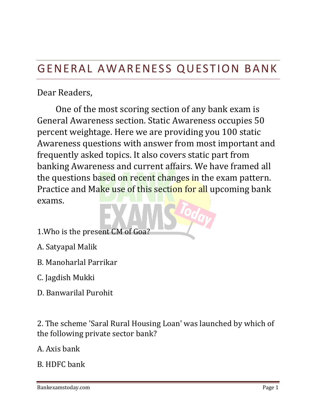# GENERAL AWARENESS QUESTION BANK

## Dear Readers,

One of the most scoring section of any bank exam is General Awareness section. Static Awareness occupies 50 percent weightage. Here we are providing you 100 static Awareness questions with answer from most important and frequently asked topics. It also covers static part from banking Awareness and current affairs. We have framed all the questions based on recent changes in the exam pattern. Practice and Make use of this section for all upcoming bank exams.

- 1.Who is the present CM of Goa?
- A. Satyapal Malik
- B. Manoharlal Parrikar
- C. Jagdish Mukki
- D. Banwarilal Purohit

2. The scheme 'Saral Rural Housing Loan' was launched by which of the following private sector bank?

A. Axis bank

B. HDFC bank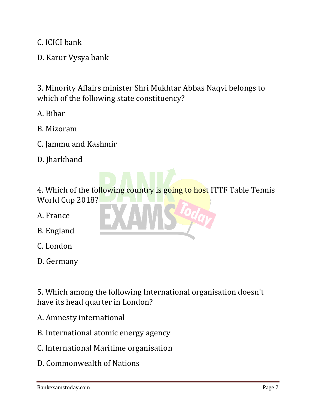C. ICICI bank

D. Karur Vysya bank

3. Minority Affairs minister Shri Mukhtar Abbas Naqvi belongs to which of the following state constituency?

- A. Bihar
- B. Mizoram
- C. Jammu and Kashmir
- D. Jharkhand

4. Which of the following country is going to host ITTF Table Tennis World Cup 2018?

- A. France
- B. England
- C. London
- D. Germany

5. Which among the following International organisation doesn't have its head quarter in London?

- A. Amnesty international
- B. International atomic energy agency
- C. International Maritime organisation
- D. Commonwealth of Nations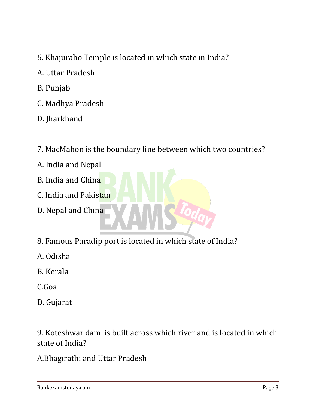- 6. Khajuraho Temple is located in which state in India?
- A. Uttar Pradesh
- B. Punjab
- C. Madhya Pradesh
- D. Jharkhand
- 7. MacMahon is the boundary line between which two countries?
- A. India and Nepal
- B. India and China
- C. India and Pakistan
- D. Nepal and China
- 8. Famous Paradip port is located in which state of India?
- A. Odisha
- B. Kerala
- C.Goa
- D. Gujarat

9. Koteshwar dam is built across which river and is located in which state of India?

A.Bhagirathi and Uttar Pradesh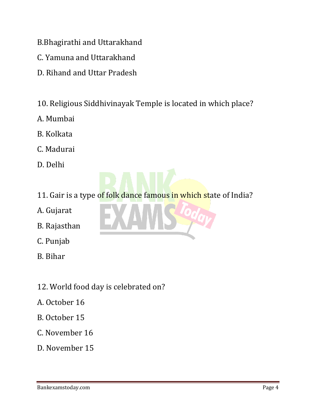- B.Bhagirathi and Uttarakhand
- C. Yamuna and Uttarakhand
- D. Rihand and Uttar Pradesh
- 10. Religious Siddhivinayak Temple is located in which place?
- A. Mumbai
- B. Kolkata
- C. Madurai
- D. Delhi

11. Gair is a type of folk dance famous in which state of India?

- A. Gujarat
- B. Rajasthan
- C. Punjab
- B. Bihar
- 12. World food day is celebrated on?
- A. October 16
- B. October 15
- C. November 16
- D. November 15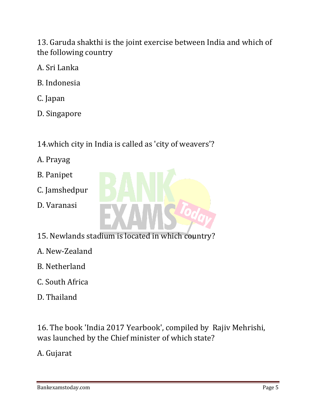13. Garuda shakthi is the joint exercise between India and which of the following country

- A. Sri Lanka
- B. Indonesia
- C. Japan
- D. Singapore

## 14.which city in India is called as 'city of weavers'?

- A. Prayag
- B. Panipet
- C. Jamshedpur
- D. Varanasi



- A. New-Zealand
- B. Netherland
- C. South Africa
- D. Thailand

16. The book 'India 2017 Yearbook', compiled by Rajiv Mehrishi, was launched by the Chief minister of which state?

A. Gujarat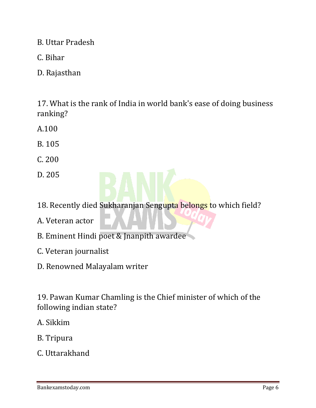B. Uttar Pradesh

- C. Bihar
- D. Rajasthan

17. What is the rank of India in world bank's ease of doing business ranking?

- A.100
- B. 105
- C. 200
- D. 205
- 18. Recently died Sukharanjan Sengupta belongs to which field?
- A. Veteran actor
- B. Eminent Hindi poet & Jnanpith awardee
- C. Veteran journalist
- D. Renowned Malayalam writer

19. Pawan Kumar Chamling is the Chief minister of which of the following indian state?

- A. Sikkim
- B. Tripura
- C. Uttarakhand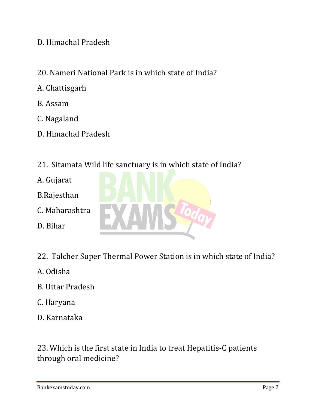D. Himachal Pradesh

- 20. Nameri National Park is in which state of India?
- A. Chattisgarh
- B. Assam
- C. Nagaland
- D. Himachal Pradesh
- 21. Sitamata Wild life sanctuary is in which state of India?
- A. Gujarat
- B.Rajesthan
- C. Maharashtra
- D. Bihar
- 22. Talcher Super Thermal Power Station is in which state of India?
- A. Odisha
- B. Uttar Pradesh
- C. Haryana
- D. Karnataka

23. Which is the first state in India to treat Hepatitis-C patients through oral medicine?

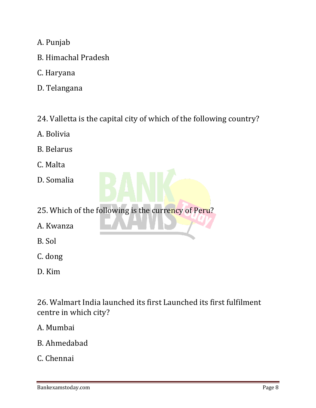- A. Punjab
- B. Himachal Pradesh
- C. Haryana
- D. Telangana
- 24. Valletta is the capital city of which of the following country?
- A. Bolivia
- B. Belarus
- C. Malta
- D. Somalia
- 25. Which of the following is the currency of Peru?
- A. Kwanza
- B. Sol
- C. dong
- D. Kim

26. Walmart India launched its first Launched its first fulfilment centre in which city?

#### A. Mumbai

B. Ahmedabad

### C. Chennai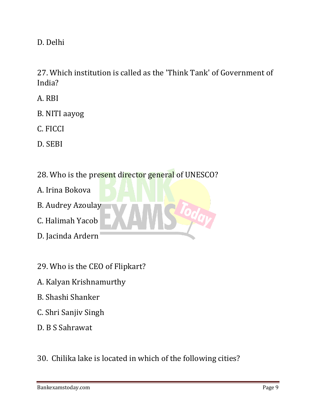D. Delhi

27. Which institution is called as the 'Think Tank' of Government of India?

- A. RBI
- B. NITI aayog
- C. FICCI
- D. SEBI
- 28. Who is the present director general of UNESCO?
- A. Irina Bokova
- B. Audrey Azoulay
- C. Halimah Yacob
- D. Jacinda Ardern
- 29. Who is the CEO of Flipkart?
- A. Kalyan Krishnamurthy
- B. Shashi Shanker
- C. Shri Sanjiv Singh
- D. B S Sahrawat
- 30. Chilika lake is located in which of the following cities?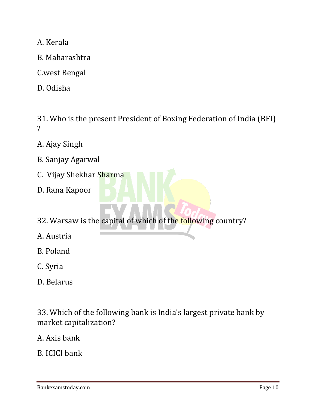A. Kerala

- B. Maharashtra
- C.west Bengal
- D. Odisha

31. Who is the present President of Boxing Federation of India (BFI) ?

- A. Ajay Singh
- B. Sanjay Agarwal
- C. Vijay Shekhar Sharma
- D. Rana Kapoor
- 32. Warsaw is the capital of which of the following country?
- A. Austria
- B. Poland
- C. Syria
- D. Belarus

33. Which of the following bank is India's largest private bank by market capitalization?

- A. Axis bank
- B. ICICI bank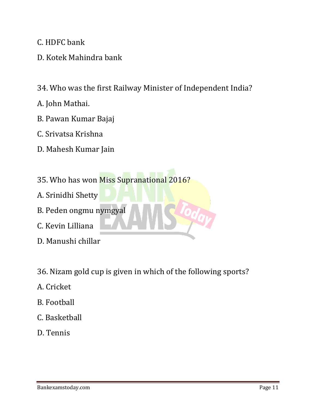C. HDFC bank

D. Kotek Mahindra bank

34. Who was the first Railway Minister of Independent India?

- A. John Mathai.
- B. Pawan Kumar Bajaj
- C. Srivatsa Krishna
- D. Mahesh Kumar Jain
- 35. Who has won Miss Supranational 2016?
- A. Srinidhi Shetty
- B. Peden ongmu nymgyal
- C. Kevin Lilliana
- D. Manushi chillar
- 36. Nizam gold cup is given in which of the following sports?
- A. Cricket
- B. Football
- C. Basketball
- D. Tennis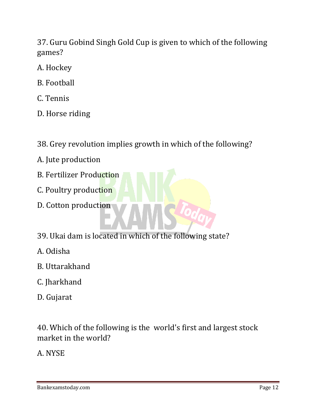37. Guru Gobind Singh Gold Cup is given to which of the following games?

- A. Hockey
- B. Football
- C. Tennis
- D. Horse riding
- 38. Grey revolution implies growth in which of the following?
- A. Jute production
- B. Fertilizer Production
- C. Poultry production
- D. Cotton production
- 39. Ukai dam is located in which of the following state?
- A. Odisha
- B. Uttarakhand
- C. Jharkhand
- D. Gujarat

40. Which of the following is the world's first and largest stock market in the world?

A. NYSE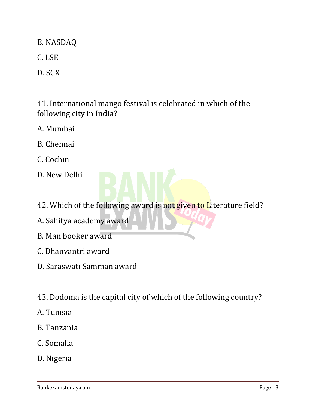B. NASDAQ

C. LSE

D. SGX

41. International mango festival is celebrated in which of the following city in India?

- A. Mumbai
- B. Chennai
- C. Cochin
- D. New Delhi
- 42. Which of the following award is not given to Literature field?
- A. Sahitya academy award
- B. Man booker award
- C. Dhanvantri award
- D. Saraswati Samman award
- 43. Dodoma is the capital city of which of the following country?
- A. Tunisia
- B. Tanzania
- C. Somalia
- D. Nigeria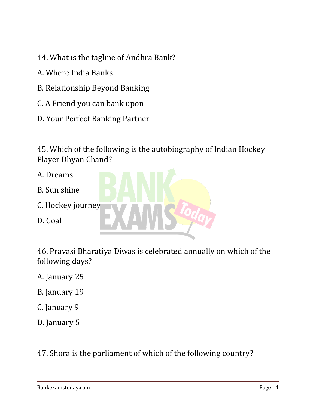- 44. What is the tagline of Andhra Bank?
- A. Where India Banks
- B. Relationship Beyond Banking
- C. A Friend you can bank upon
- D. Your Perfect Banking Partner

45. Which of the following is the autobiography of Indian Hockey Player Dhyan Chand?

- A. Dreams
- B. Sun shine
- C. Hockey journey
- D. Goal



46. Pravasi Bharatiya Diwas is celebrated annually on which of the following days?

A. January 25

- B. January 19
- C. January 9
- D. January 5

47. Shora is the parliament of which of the following country?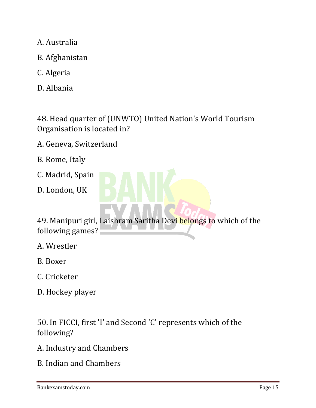- A. Australia
- B. Afghanistan
- C. Algeria
- D. Albania

48. Head quarter of (UNWTO) United Nation's World Tourism Organisation is located in?

- A. Geneva, Switzerland
- B. Rome, Italy
- C. Madrid, Spain
- D. London, UK



- A. Wrestler
- B. Boxer
- C. Cricketer
- D. Hockey player

50. In FICCI, first 'I' and Second 'C' represents which of the following?

- A. Industry and Chambers
- B. Indian and Chambers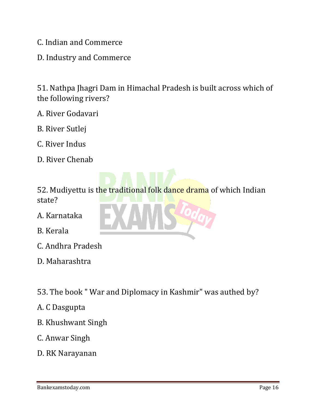C. Indian and Commerce

D. Industry and Commerce

51. Nathpa Jhagri Dam in Himachal Pradesh is built across which of the following rivers?

- A. River Godavari
- B. River Sutlej
- C. River Indus
- D. River Chenab

52. Mudiyettu is the traditional folk dance drama of which Indian state?

A. Karnataka

- B. Kerala
- C. Andhra Pradesh
- D. Maharashtra
- 53. The book " War and Diplomacy in Kashmir" was authed by?
- A. C Dasgupta
- B. Khushwant Singh
- C. Anwar Singh
- D. RK Narayanan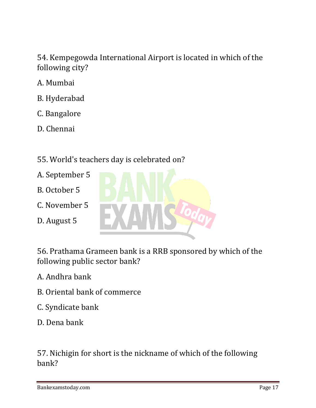54. Kempegowda International Airport is located in which of the following city?

- A. Mumbai
- B. Hyderabad
- C. Bangalore
- D. Chennai
- 55. World's teachers day is celebrated on?
- A. September 5
- B. October 5
- C. November 5
- D. August 5



56. Prathama Grameen bank is a RRB sponsored by which of the following public sector bank?

A. Andhra bank

- B. Oriental bank of commerce
- C. Syndicate bank
- D. Dena bank

57. Nichigin for short is the nickname of which of the following bank?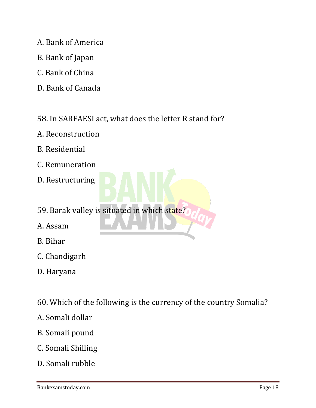- A. Bank of America
- B. Bank of Japan
- C. Bank of China
- D. Bank of Canada
- 58. In SARFAESI act, what does the letter R stand for?
- A. Reconstruction
- B. Residential
- C. Remuneration
- D. Restructuring
- 59. Barak valley is situated in which state?
- A. Assam
- B. Bihar
- C. Chandigarh
- D. Haryana
- 60. Which of the following is the currency of the country Somalia?
- A. Somali dollar
- B. Somali pound
- C. Somali Shilling
- D. Somali rubble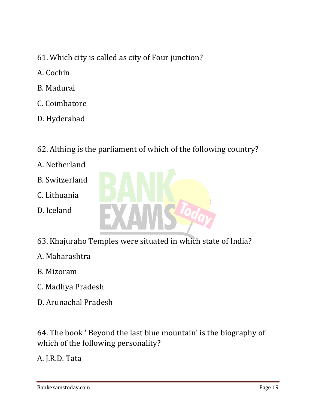- 61. Which city is called as city of Four junction?
- A. Cochin
- B. Madurai
- C. Coimbatore
- D. Hyderabad

## 62. Althing is the parliament of which of the following country?

- A. Netherland
- B. Switzerland
- C. Lithuania
- D. Iceland

![](_page_18_Picture_10.jpeg)

- 63. Khajuraho Temples were situated in which state of India?
- A. Maharashtra
- B. Mizoram
- C. Madhya Pradesh
- D. Arunachal Pradesh

64. The book ' Beyond the last blue mountain' is the biography of which of the following personality?

A. J.R.D. Tata

Bankexamstoday.com Page 19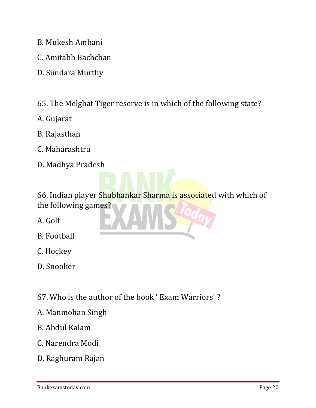- B. Mukesh Ambani
- C. Amitabh Bachchan
- D. Sundara Murthy
- 65. The Melghat Tiger reserve is in which of the following state?
- A. Gujarat
- B. Rajasthan
- C. Maharashtra
- D. Madhya Pradesh

66. Indian player Shubhankar Sharma is associated with which of the following games?

- A. Golf
- B. Football
- C. Hockey
- D. Snooker
- 67. Who is the author of the book ' Exam Warriors' ?
- A. Manmohan Singh
- B. Abdul Kalam
- C. Narendra Modi
- D. Raghuram Rajan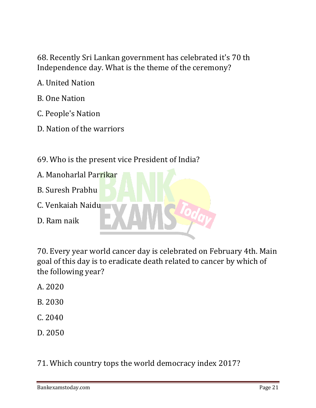68. Recently Sri Lankan government has celebrated it's 70 th Independence day. What is the theme of the ceremony?

- A. United Nation
- B. One Nation
- C. People's Nation
- D. Nation of the warriors
- 69. Who is the present vice President of India?
- A. Manoharlal Parrikar B. Suresh Prabhu C. Venkaiah Naidu D. Ram naik

70. Every year world cancer day is celebrated on February 4th. Main goal of this day is to eradicate death related to cancer by which of the following year?

- A. 2020
- B. 2030
- C. 2040
- D. 2050

71. Which country tops the world democracy index 2017?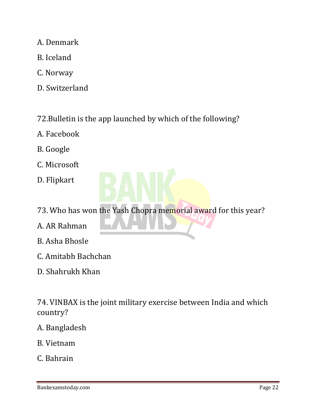- A. Denmark
- B. Iceland
- C. Norway
- D. Switzerland
- 72.Bulletin is the app launched by which of the following?
- A. Facebook
- B. Google
- C. Microsoft
- D. Flipkart
- 73. Who has won the Yash Chopra memorial award for this year?
- A. AR Rahman
- B. Asha Bhosle
- C. Amitabh Bachchan
- D. Shahrukh Khan

74. VINBAX is the joint military exercise between India and which country?

#### A. Bangladesh

- B. Vietnam
- C. Bahrain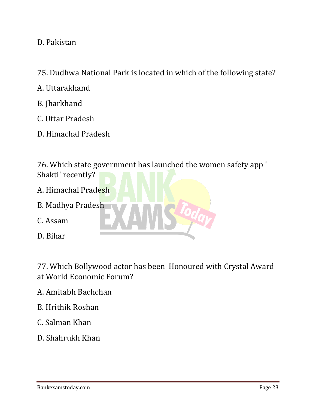D. Pakistan

- 75. Dudhwa National Park is located in which of the following state?
- A. Uttarakhand
- B. Jharkhand
- C. Uttar Pradesh
- D. Himachal Pradesh

76. Which state government has launched the women safety app ' Shakti' recently?

- A. Himachal Pradesh
- B. Madhya Pradesh
- C. Assam
- D. Bihar

77. Which Bollywood actor has been Honoured with Crystal Award at World Economic Forum?

- A. Amitabh Bachchan
- B. Hrithik Roshan
- C. Salman Khan
- D. Shahrukh Khan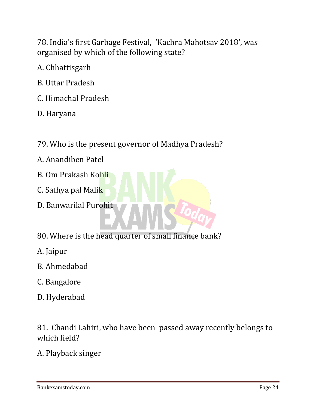78. India's first Garbage Festival, 'Kachra Mahotsav 2018', was organised by which of the following state?

A. Chhattisgarh

- B. Uttar Pradesh
- C. Himachal Pradesh

D. Haryana

- 79. Who is the present governor of Madhya Pradesh?
- A. Anandiben Patel
- B. Om Prakash Kohli
- C. Sathya pal Malik
- D. Banwarilal Purohit
- 80. Where is the head quarter of small finance bank?
- A. Jaipur
- B. Ahmedabad
- C. Bangalore
- D. Hyderabad

81. Chandi Lahiri, who have been passed away recently belongs to which field?

A. Playback singer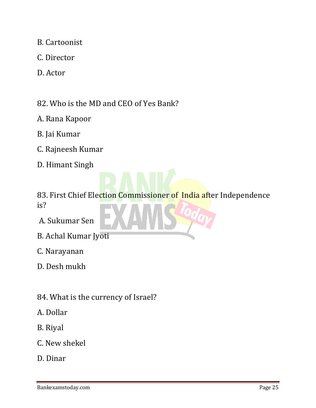- B. Cartoonist
- C. Director
- D. Actor

82. Who is the MD and CEO of Yes Bank?

- A. Rana Kapoor
- B. Jai Kumar
- C. Rajneesh Kumar
- D. Himant Singh
- 83. First Chief Election Commissioner of India after Independence is?
- A. Sukumar Sen
- B. Achal Kumar Jyoti
- C. Narayanan
- D. Desh mukh
- 84. What is the currency of Israel?
- A. Dollar
- B. Riyal
- C. New shekel
- D. Dinar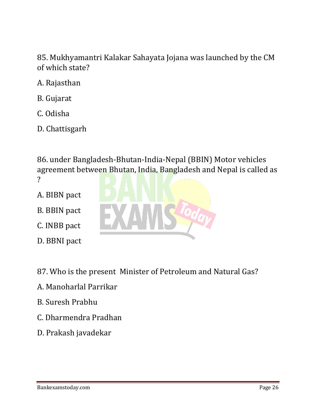85. Mukhyamantri Kalakar Sahayata Jojana was launched by the CM of which state?

- A. Rajasthan
- B. Gujarat
- C. Odisha
- D. Chattisgarh

86. under Bangladesh-Bhutan-India-Nepal (BBIN) Motor vehicles agreement between Bhutan, India, Bangladesh and Nepal is called as ?

- A. BIBN pact
- B. BBIN pact
- C. INBB pact
- D. BBNI pact
- 87. Who is the present Minister of Petroleum and Natural Gas?
- A. Manoharlal Parrikar
- B. Suresh Prabhu
- C. Dharmendra Pradhan
- D. Prakash javadekar

![](_page_25_Picture_15.jpeg)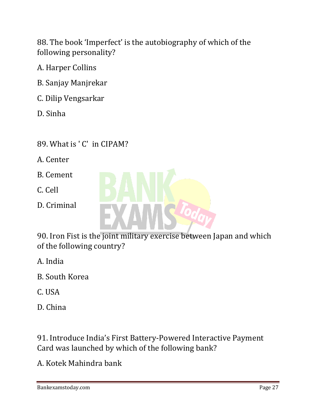88. The book 'Imperfect' is the autobiography of which of the following personality?

- A. Harper Collins
- B. Sanjay Manjrekar
- C. Dilip Vengsarkar
- D. Sinha
- 89. What is ' C' in CIPAM?
- A. Center
- B. Cement
- C. Cell
- D. Criminal

![](_page_26_Picture_10.jpeg)

90. Iron Fist is the joint military exercise between Japan and which of the following country?

- A. India
- B. South Korea
- C. USA
- D. China

91. Introduce India's First Battery-Powered Interactive Payment Card was launched by which of the following bank?

A. Kotek Mahindra bank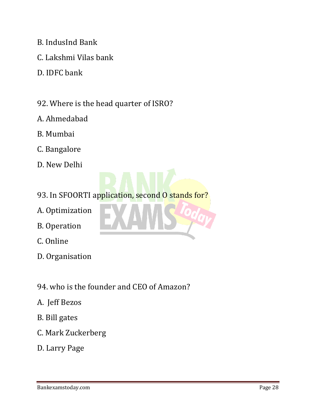- B. IndusInd Bank
- C. Lakshmi Vilas bank
- D. IDFC bank
- 92. Where is the head quarter of ISRO?
- A. Ahmedabad
- B. Mumbai
- C. Bangalore
- D. New Delhi
- 93. In SFOORTI application, second O stands for?
- A. Optimization
- B. Operation
- C. Online
- D. Organisation
- 94. who is the founder and CEO of Amazon?
- A. Jeff Bezos
- B. Bill gates
- C. Mark Zuckerberg
- D. Larry Page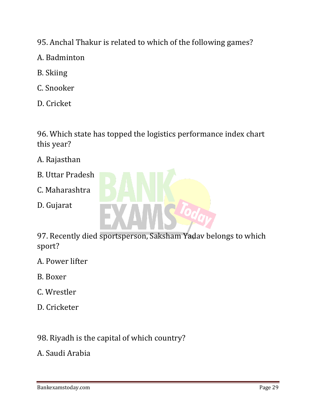- 95. Anchal Thakur is related to which of the following games?
- A. Badminton
- B. Skiing
- C. Snooker
- D. Cricket

96. Which state has topped the logistics performance index chart this year?

- A. Rajasthan
- B. Uttar Pradesh
- C. Maharashtra
- D. Gujarat

![](_page_28_Picture_10.jpeg)

97. Recently died sportsperson, Saksham Yadav belongs to which sport?

- A. Power lifter
- B. Boxer
- C. Wrestler
- D. Cricketer

## 98. Riyadh is the capital of which country?

A. Saudi Arabia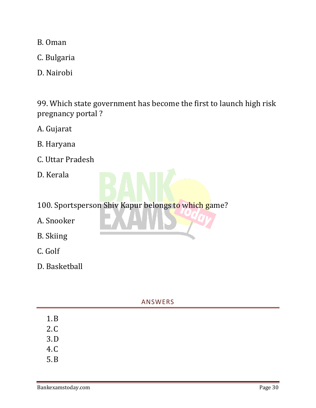B. Oman

C. Bulgaria

D. Nairobi

99. Which state government has become the first to launch high risk pregnancy portal ?

A. Gujarat

- B. Haryana
- C. Uttar Pradesh
- D. Kerala

100. Sportsperson Shiv Kapur belongs to which game?

- A. Snooker
- B. Skiing
- C. Golf
- D. Basketball

#### ANSWERS

- 2.C 3.D
- 
- 4.C
- 5.B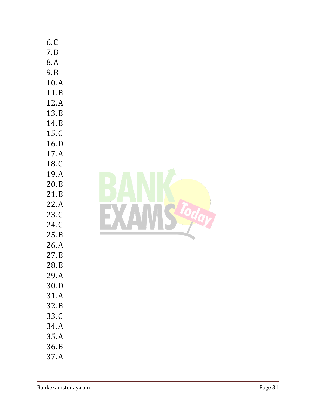| 6.C<br>7.B<br>8.A<br>9.B<br>10.A<br>11.B<br>12.A<br>13.B<br>14.B<br>15.C<br>16.D<br>17.A<br>18.C<br>19.A<br>20.B<br>21.B<br>22.A<br>23.C<br>24.C<br>25.B<br>26.A<br>27.B<br>28.B<br>29.A<br>30.D<br>31.A<br>32.B<br>33.C<br>34.A |  |
|----------------------------------------------------------------------------------------------------------------------------------------------------------------------------------------------------------------------------------|--|
|                                                                                                                                                                                                                                  |  |
|                                                                                                                                                                                                                                  |  |
|                                                                                                                                                                                                                                  |  |
| 35.A                                                                                                                                                                                                                             |  |
| 36.B                                                                                                                                                                                                                             |  |
| 37.A                                                                                                                                                                                                                             |  |
|                                                                                                                                                                                                                                  |  |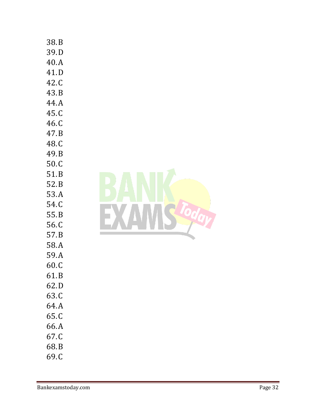| 38.B  |
|-------|
| 39.D  |
| 40.A  |
| 41.D  |
| 42.C  |
| 43.B  |
| 44.A  |
| 45.C  |
| 46.C  |
| 47.B  |
| 48.C  |
| 49. B |
| 50.C  |
| 51.B  |
| 52.B  |
| 53.A  |
| 54.C  |
| 55.B  |
| 56.C  |
| 57.B  |
| 58.A  |
| 59.A  |
| 60.0  |
| 61.B  |
| 62.D  |
| 63.C  |
| 64.A  |
| 65.C  |
| 66.A  |
| 67.C  |
| 68.B  |
| 69.C  |

![](_page_31_Picture_1.jpeg)